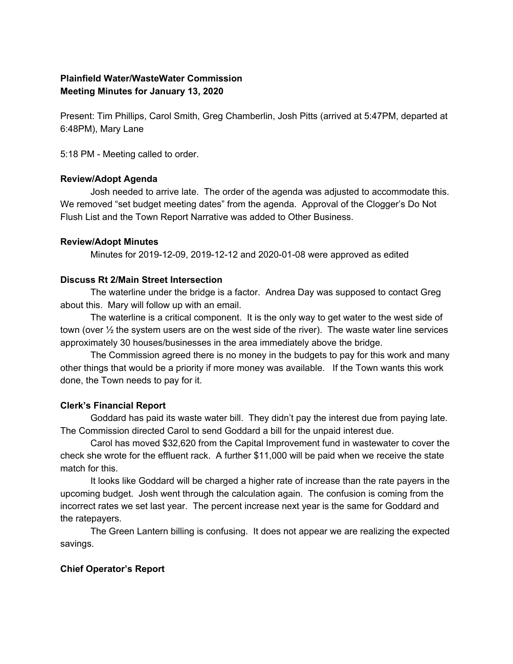# **Plainfield Water/WasteWater Commission Meeting Minutes for January 13, 2020**

Present: Tim Phillips, Carol Smith, Greg Chamberlin, Josh Pitts (arrived at 5:47PM, departed at 6:48PM), Mary Lane

5:18 PM - Meeting called to order.

## **Review/Adopt Agenda**

Josh needed to arrive late. The order of the agenda was adjusted to accommodate this. We removed "set budget meeting dates" from the agenda. Approval of the Clogger's Do Not Flush List and the Town Report Narrative was added to Other Business.

## **Review/Adopt Minutes**

Minutes for 2019-12-09, 2019-12-12 and 2020-01-08 were approved as edited

## **Discuss Rt 2/Main Street Intersection**

The waterline under the bridge is a factor. Andrea Day was supposed to contact Greg about this. Mary will follow up with an email.

The waterline is a critical component. It is the only way to get water to the west side of town (over  $\frac{1}{2}$  the system users are on the west side of the river). The waste water line services approximately 30 houses/businesses in the area immediately above the bridge.

The Commission agreed there is no money in the budgets to pay for this work and many other things that would be a priority if more money was available. If the Town wants this work done, the Town needs to pay for it.

# **Clerk's Financial Report**

Goddard has paid its waste water bill. They didn't pay the interest due from paying late. The Commission directed Carol to send Goddard a bill for the unpaid interest due.

Carol has moved \$32,620 from the Capital Improvement fund in wastewater to cover the check she wrote for the effluent rack. A further \$11,000 will be paid when we receive the state match for this.

It looks like Goddard will be charged a higher rate of increase than the rate payers in the upcoming budget. Josh went through the calculation again. The confusion is coming from the incorrect rates we set last year. The percent increase next year is the same for Goddard and the ratepayers.

The Green Lantern billing is confusing. It does not appear we are realizing the expected savings.

# **Chief Operator's Report**